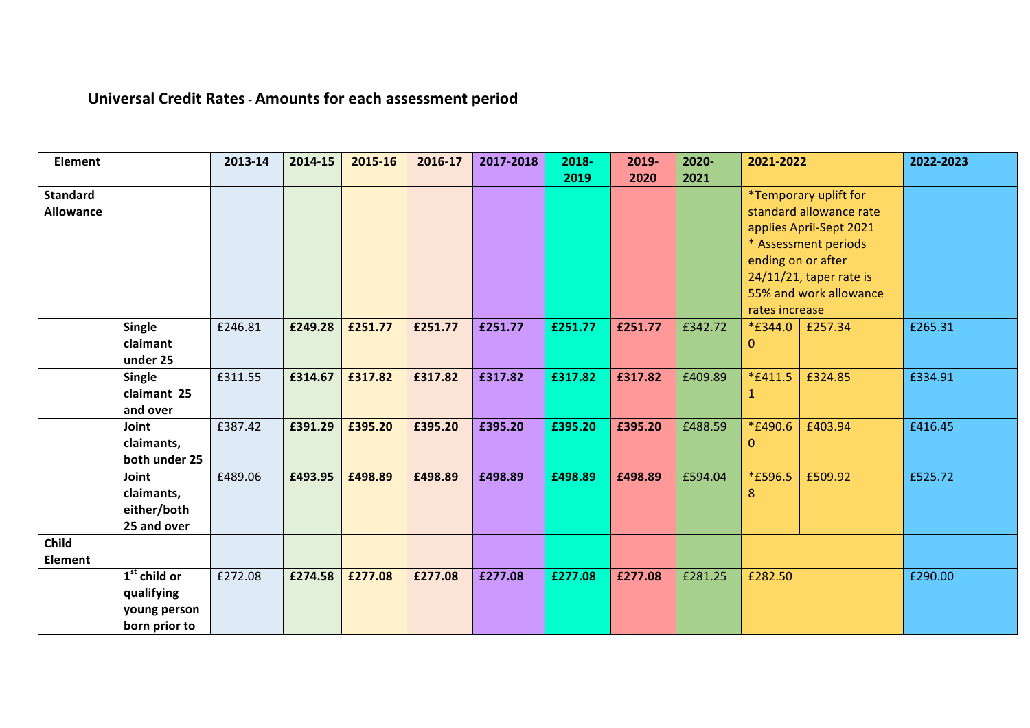## **Universal Credit Rates- Amounts for each assessment period**

| <b>Element</b>                      |                                                               | 2013-14 | 2014-15 | 2015-16 | 2016-17 | 2017-2018 | 2018-<br>2019 | 2019-<br>2020 | 2020-<br>2021 | 2021-2022                                                                                                                                                                                                                                 |         | 2022-2023 |
|-------------------------------------|---------------------------------------------------------------|---------|---------|---------|---------|-----------|---------------|---------------|---------------|-------------------------------------------------------------------------------------------------------------------------------------------------------------------------------------------------------------------------------------------|---------|-----------|
| <b>Standard</b><br><b>Allowance</b> |                                                               |         |         |         |         |           |               |               |               | *Temporary uplift for<br>standard allowance rate<br>applies April-Sept 2021<br>* Assessment periods<br>ending on or after<br>$24/11/21$ , taper rate is<br>55% and work allowance<br>rates increase<br>*£344.0<br>£257.34<br>$\mathbf{0}$ |         |           |
|                                     | <b>Single</b><br>claimant<br>under 25                         | £246.81 | £249.28 | £251.77 | £251.77 | £251.77   | £251.77       | £251.77       | £342.72       |                                                                                                                                                                                                                                           |         | £265.31   |
|                                     | <b>Single</b><br>claimant 25<br>and over                      | £311.55 | £314.67 | £317.82 | £317.82 | £317.82   | £317.82       | £317.82       | £409.89       | *£411.5<br>1                                                                                                                                                                                                                              | £324.85 | £334.91   |
|                                     | Joint<br>claimants,<br>both under 25                          | £387.42 | £391.29 | £395.20 | £395.20 | £395.20   | £395.20       | £395.20       | £488.59       | <i>*</i> £490.6<br>$\mathbf{0}$                                                                                                                                                                                                           | £403.94 | £416.45   |
|                                     | Joint<br>claimants,<br>either/both<br>25 and over             | £489.06 | £493.95 | £498.89 | £498.89 | £498.89   | £498.89       | £498.89       | £594.04       | <i>*</i> £596.5<br>8                                                                                                                                                                                                                      | £509.92 | £525.72   |
| Child<br>Element                    |                                                               |         |         |         |         |           |               |               |               |                                                                                                                                                                                                                                           |         |           |
|                                     | $1st$ child or<br>qualifying<br>young person<br>born prior to | £272.08 | £274.58 | £277.08 | £277.08 | £277.08   | £277.08       | £277.08       | £281.25       | £282.50                                                                                                                                                                                                                                   |         | £290.00   |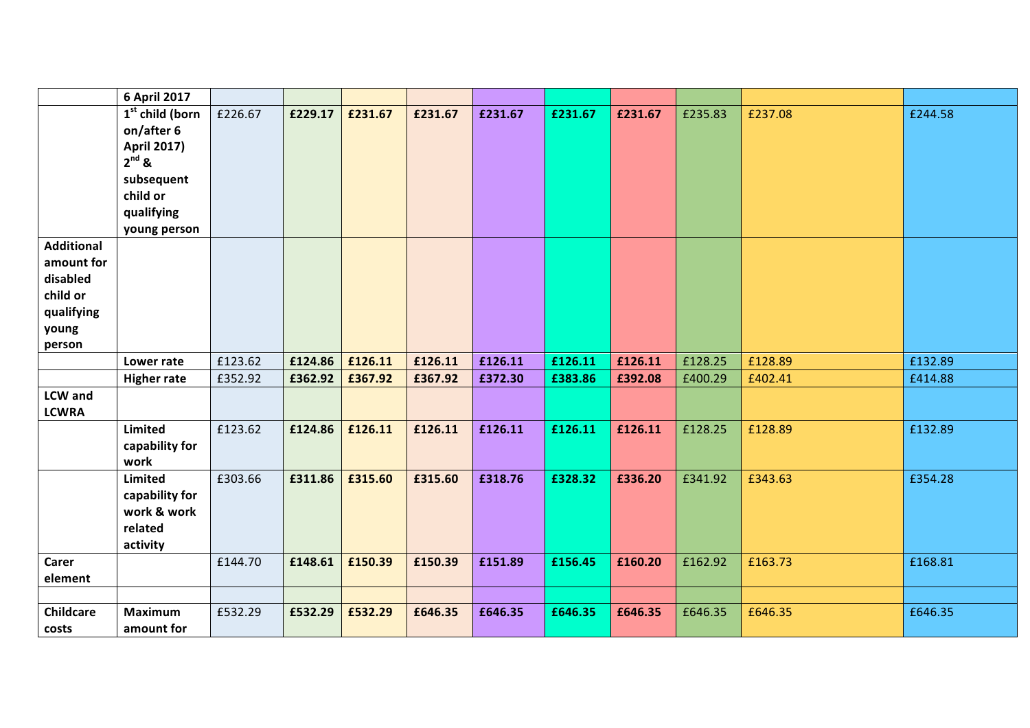|                   | 6 April 2017              |         |         |         |         |         |         |         |         |         |         |
|-------------------|---------------------------|---------|---------|---------|---------|---------|---------|---------|---------|---------|---------|
|                   | $1st$ child (born         | £226.67 | £229.17 | £231.67 | £231.67 | £231.67 | £231.67 | £231.67 | £235.83 | £237.08 | £244.58 |
|                   | on/after 6                |         |         |         |         |         |         |         |         |         |         |
|                   | <b>April 2017)</b>        |         |         |         |         |         |         |         |         |         |         |
|                   | $2^{nd}$ &                |         |         |         |         |         |         |         |         |         |         |
|                   | subsequent                |         |         |         |         |         |         |         |         |         |         |
|                   | child or                  |         |         |         |         |         |         |         |         |         |         |
|                   | qualifying                |         |         |         |         |         |         |         |         |         |         |
| <b>Additional</b> | young person              |         |         |         |         |         |         |         |         |         |         |
| amount for        |                           |         |         |         |         |         |         |         |         |         |         |
| disabled          |                           |         |         |         |         |         |         |         |         |         |         |
| child or          |                           |         |         |         |         |         |         |         |         |         |         |
| qualifying        |                           |         |         |         |         |         |         |         |         |         |         |
| young             |                           |         |         |         |         |         |         |         |         |         |         |
| person            |                           |         |         |         |         |         |         |         |         |         |         |
|                   | Lower rate                | £123.62 | £124.86 | £126.11 | £126.11 | £126.11 | £126.11 | £126.11 | £128.25 | £128.89 | £132.89 |
|                   | <b>Higher rate</b>        | £352.92 | £362.92 | £367.92 | £367.92 | £372.30 | £383.86 | £392.08 | £400.29 | £402.41 | £414.88 |
| <b>LCW</b> and    |                           |         |         |         |         |         |         |         |         |         |         |
| <b>LCWRA</b>      |                           |         |         |         |         |         |         |         |         |         |         |
|                   | <b>Limited</b>            | £123.62 | £124.86 | £126.11 | £126.11 | £126.11 | £126.11 | £126.11 | £128.25 | £128.89 | £132.89 |
|                   | capability for            |         |         |         |         |         |         |         |         |         |         |
|                   | work                      |         |         |         |         |         |         |         |         |         |         |
|                   | Limited<br>capability for | £303.66 | £311.86 | £315.60 | £315.60 | £318.76 | £328.32 | £336.20 | £341.92 | £343.63 | £354.28 |
|                   | work & work               |         |         |         |         |         |         |         |         |         |         |
|                   | related                   |         |         |         |         |         |         |         |         |         |         |
|                   | activity                  |         |         |         |         |         |         |         |         |         |         |
| Carer             |                           | £144.70 | £148.61 | £150.39 | £150.39 | £151.89 | £156.45 | £160.20 | £162.92 | £163.73 | £168.81 |
| element           |                           |         |         |         |         |         |         |         |         |         |         |
|                   |                           |         |         |         |         |         |         |         |         |         |         |
| <b>Childcare</b>  | <b>Maximum</b>            | £532.29 | £532.29 | £532.29 | £646.35 | £646.35 | £646.35 | £646.35 | £646.35 | £646.35 | £646.35 |
| costs             | amount for                |         |         |         |         |         |         |         |         |         |         |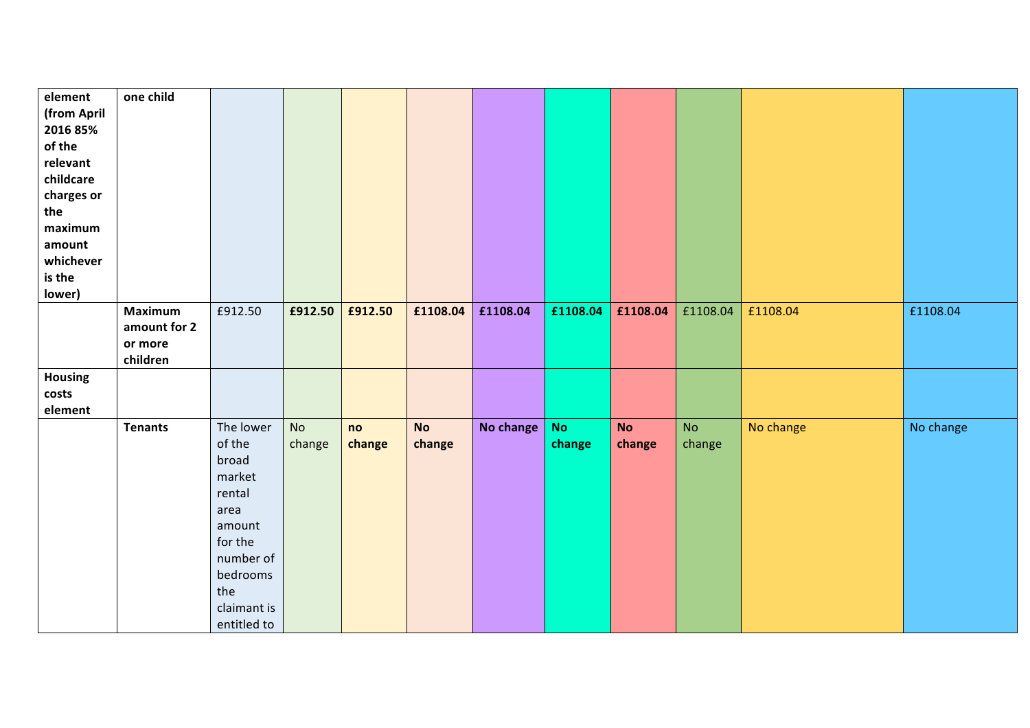| element<br>(from April | one child      |                  |           |         |           |           |           |           |           |           |           |
|------------------------|----------------|------------------|-----------|---------|-----------|-----------|-----------|-----------|-----------|-----------|-----------|
| 2016 85%               |                |                  |           |         |           |           |           |           |           |           |           |
| of the                 |                |                  |           |         |           |           |           |           |           |           |           |
| relevant               |                |                  |           |         |           |           |           |           |           |           |           |
| childcare              |                |                  |           |         |           |           |           |           |           |           |           |
| charges or             |                |                  |           |         |           |           |           |           |           |           |           |
| the                    |                |                  |           |         |           |           |           |           |           |           |           |
| maximum                |                |                  |           |         |           |           |           |           |           |           |           |
| amount                 |                |                  |           |         |           |           |           |           |           |           |           |
| whichever              |                |                  |           |         |           |           |           |           |           |           |           |
| is the                 |                |                  |           |         |           |           |           |           |           |           |           |
| lower)                 |                |                  |           |         |           |           |           |           |           |           |           |
|                        | <b>Maximum</b> | £912.50          | £912.50   | £912.50 | £1108.04  | £1108.04  | £1108.04  | £1108.04  | £1108.04  | £1108.04  | £1108.04  |
|                        | amount for 2   |                  |           |         |           |           |           |           |           |           |           |
|                        | or more        |                  |           |         |           |           |           |           |           |           |           |
|                        | children       |                  |           |         |           |           |           |           |           |           |           |
| <b>Housing</b>         |                |                  |           |         |           |           |           |           |           |           |           |
| costs                  |                |                  |           |         |           |           |           |           |           |           |           |
| element                |                |                  |           |         |           |           |           |           |           |           |           |
|                        | <b>Tenants</b> | The lower        | <b>No</b> | no      | <b>No</b> | No change | <b>No</b> | <b>No</b> | <b>No</b> | No change | No change |
|                        |                | of the           | change    | change  | change    |           | change    | change    | change    |           |           |
|                        |                | broad            |           |         |           |           |           |           |           |           |           |
|                        |                | market<br>rental |           |         |           |           |           |           |           |           |           |
|                        |                | area             |           |         |           |           |           |           |           |           |           |
|                        |                | amount           |           |         |           |           |           |           |           |           |           |
|                        |                | for the          |           |         |           |           |           |           |           |           |           |
|                        |                | number of        |           |         |           |           |           |           |           |           |           |
|                        |                | bedrooms         |           |         |           |           |           |           |           |           |           |
|                        |                | the              |           |         |           |           |           |           |           |           |           |
|                        |                | claimant is      |           |         |           |           |           |           |           |           |           |
|                        |                | entitled to      |           |         |           |           |           |           |           |           |           |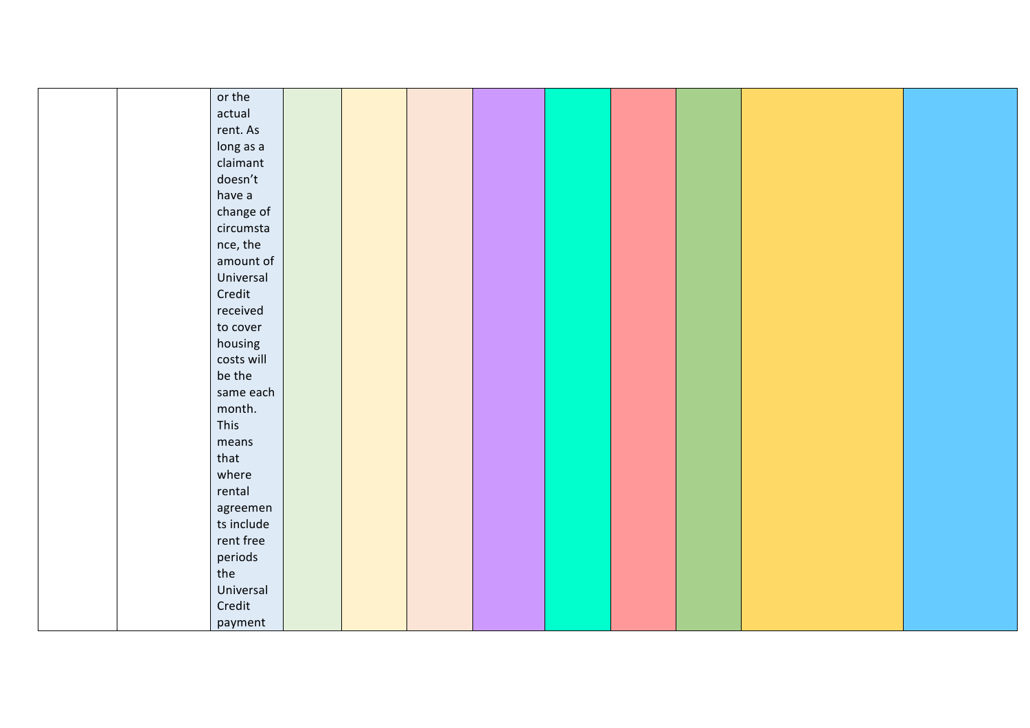| or the     |  |  |  |  |  |
|------------|--|--|--|--|--|
|            |  |  |  |  |  |
| actual     |  |  |  |  |  |
| rent. As   |  |  |  |  |  |
| long as a  |  |  |  |  |  |
| claimant   |  |  |  |  |  |
| doesn't    |  |  |  |  |  |
| have a     |  |  |  |  |  |
| change of  |  |  |  |  |  |
| circumsta  |  |  |  |  |  |
| nce, the   |  |  |  |  |  |
| amount of  |  |  |  |  |  |
| Universal  |  |  |  |  |  |
| Credit     |  |  |  |  |  |
| received   |  |  |  |  |  |
| to cover   |  |  |  |  |  |
| housing    |  |  |  |  |  |
| costs will |  |  |  |  |  |
| be the     |  |  |  |  |  |
| same each  |  |  |  |  |  |
| month.     |  |  |  |  |  |
| This       |  |  |  |  |  |
| means      |  |  |  |  |  |
| that       |  |  |  |  |  |
| where      |  |  |  |  |  |
| rental     |  |  |  |  |  |
| agreemen   |  |  |  |  |  |
| ts include |  |  |  |  |  |
| rent free  |  |  |  |  |  |
| periods    |  |  |  |  |  |
| the        |  |  |  |  |  |
| Universal  |  |  |  |  |  |
| Credit     |  |  |  |  |  |
| payment    |  |  |  |  |  |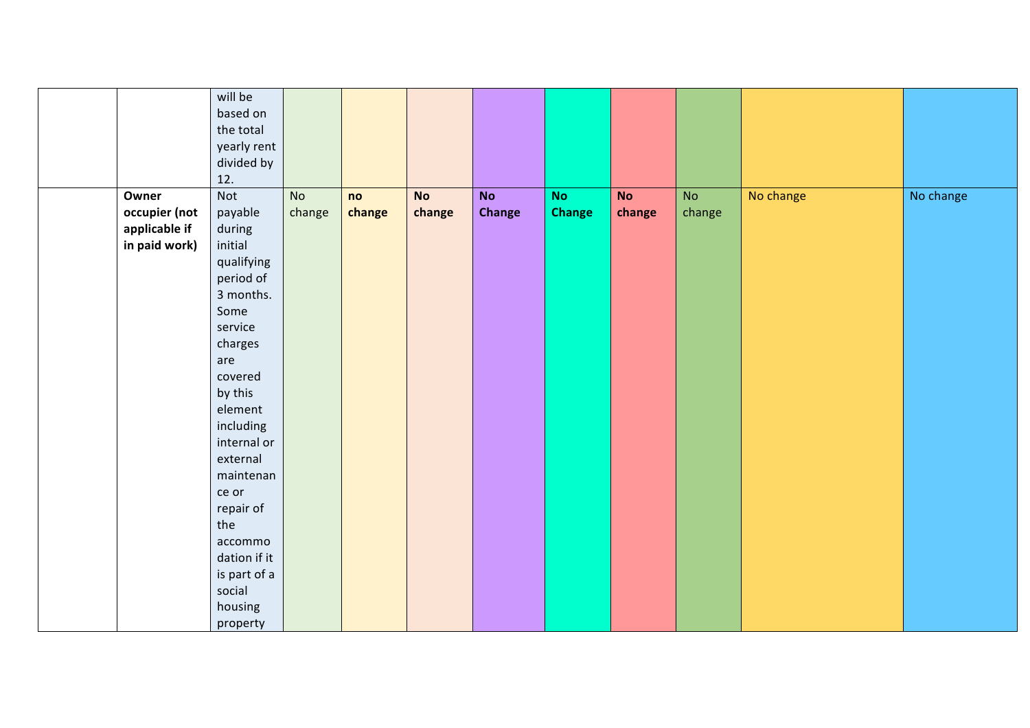|               | will be<br>based on<br>the total<br>yearly rent<br>divided by |           |        |           |               |               |           |        |           |           |
|---------------|---------------------------------------------------------------|-----------|--------|-----------|---------------|---------------|-----------|--------|-----------|-----------|
| Owner         | 12.<br>Not                                                    | <b>No</b> | no     | <b>No</b> | <b>No</b>     | No            | <b>No</b> | No     | No change | No change |
| occupier (not | payable                                                       | change    | change | change    | <b>Change</b> | <b>Change</b> | change    | change |           |           |
| applicable if | during                                                        |           |        |           |               |               |           |        |           |           |
| in paid work) | initial                                                       |           |        |           |               |               |           |        |           |           |
|               | qualifying                                                    |           |        |           |               |               |           |        |           |           |
|               | period of                                                     |           |        |           |               |               |           |        |           |           |
|               | 3 months.                                                     |           |        |           |               |               |           |        |           |           |
|               | Some                                                          |           |        |           |               |               |           |        |           |           |
|               | service                                                       |           |        |           |               |               |           |        |           |           |
|               | charges                                                       |           |        |           |               |               |           |        |           |           |
|               | are                                                           |           |        |           |               |               |           |        |           |           |
|               | covered                                                       |           |        |           |               |               |           |        |           |           |
|               | by this                                                       |           |        |           |               |               |           |        |           |           |
|               | element                                                       |           |        |           |               |               |           |        |           |           |
|               | including                                                     |           |        |           |               |               |           |        |           |           |
|               | internal or                                                   |           |        |           |               |               |           |        |           |           |
|               | external                                                      |           |        |           |               |               |           |        |           |           |
|               | maintenan                                                     |           |        |           |               |               |           |        |           |           |
|               | ce or                                                         |           |        |           |               |               |           |        |           |           |
|               | repair of                                                     |           |        |           |               |               |           |        |           |           |
|               | the                                                           |           |        |           |               |               |           |        |           |           |
|               | accommo                                                       |           |        |           |               |               |           |        |           |           |
|               | dation if it                                                  |           |        |           |               |               |           |        |           |           |
|               | is part of a<br>social                                        |           |        |           |               |               |           |        |           |           |
|               | housing                                                       |           |        |           |               |               |           |        |           |           |
|               | property                                                      |           |        |           |               |               |           |        |           |           |
|               |                                                               |           |        |           |               |               |           |        |           |           |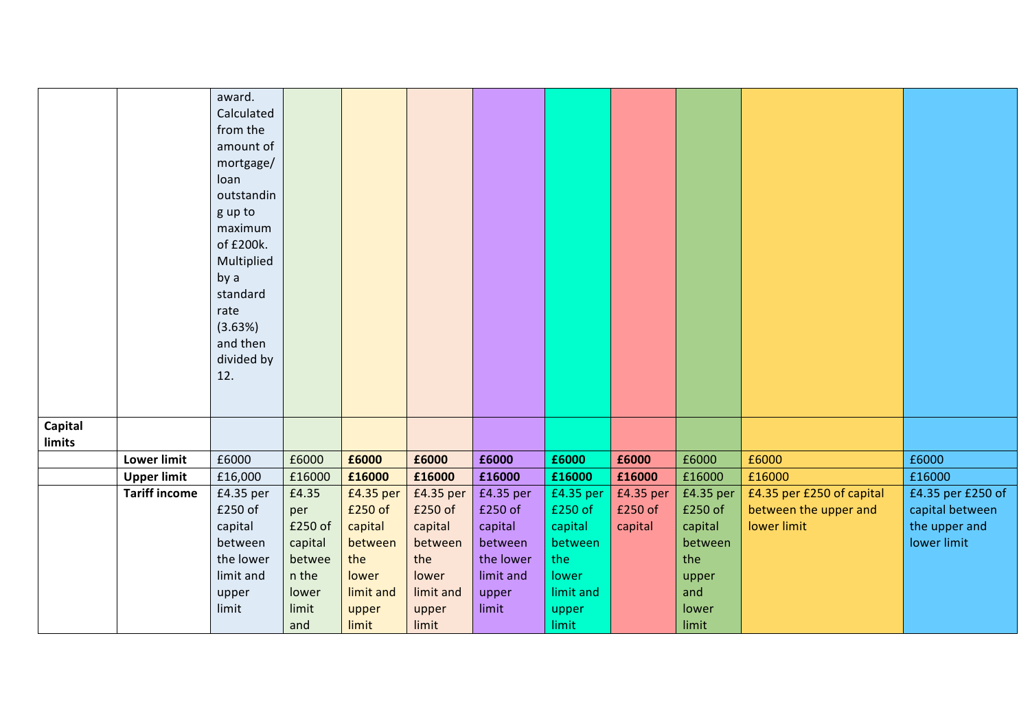|         |                      | award.     |         |           |           |           |           |           |           |                           |                   |
|---------|----------------------|------------|---------|-----------|-----------|-----------|-----------|-----------|-----------|---------------------------|-------------------|
|         |                      | Calculated |         |           |           |           |           |           |           |                           |                   |
|         |                      | from the   |         |           |           |           |           |           |           |                           |                   |
|         |                      | amount of  |         |           |           |           |           |           |           |                           |                   |
|         |                      | mortgage/  |         |           |           |           |           |           |           |                           |                   |
|         |                      | loan       |         |           |           |           |           |           |           |                           |                   |
|         |                      | outstandin |         |           |           |           |           |           |           |                           |                   |
|         |                      | g up to    |         |           |           |           |           |           |           |                           |                   |
|         |                      | maximum    |         |           |           |           |           |           |           |                           |                   |
|         |                      | of £200k.  |         |           |           |           |           |           |           |                           |                   |
|         |                      | Multiplied |         |           |           |           |           |           |           |                           |                   |
|         |                      | by a       |         |           |           |           |           |           |           |                           |                   |
|         |                      | standard   |         |           |           |           |           |           |           |                           |                   |
|         |                      | rate       |         |           |           |           |           |           |           |                           |                   |
|         |                      | (3.63%)    |         |           |           |           |           |           |           |                           |                   |
|         |                      | and then   |         |           |           |           |           |           |           |                           |                   |
|         |                      | divided by |         |           |           |           |           |           |           |                           |                   |
|         |                      | 12.        |         |           |           |           |           |           |           |                           |                   |
|         |                      |            |         |           |           |           |           |           |           |                           |                   |
|         |                      |            |         |           |           |           |           |           |           |                           |                   |
| Capital |                      |            |         |           |           |           |           |           |           |                           |                   |
| limits  |                      |            |         |           |           |           |           |           |           |                           |                   |
|         | Lower limit          | £6000      | £6000   | £6000     | £6000     | £6000     | £6000     | £6000     | £6000     | £6000                     | £6000             |
|         | <b>Upper limit</b>   | £16,000    | £16000  | £16000    | £16000    | £16000    | £16000    | £16000    | £16000    | £16000                    | £16000            |
|         | <b>Tariff income</b> | £4.35 per  | £4.35   | £4.35 per | £4.35 per | £4.35 per | £4.35 per | £4.35 per | £4.35 per | £4.35 per £250 of capital | £4.35 per £250 of |
|         |                      | £250 of    | per     | £250 of   | £250 of   | £250 of   | £250 of   | £250 of   | £250 of   | between the upper and     | capital between   |
|         |                      | capital    | £250 of | capital   | capital   | capital   | capital   | capital   | capital   | lower limit               | the upper and     |
|         |                      | between    | capital | between   | between   | between   | between   |           | between   |                           | lower limit       |
|         |                      | the lower  | betwee  | the       | the       | the lower | the       |           | the       |                           |                   |
|         |                      | limit and  | n the   | lower     | lower     | limit and | lower     |           | upper     |                           |                   |
|         |                      | upper      | lower   | limit and | limit and | upper     | limit and |           | and       |                           |                   |
|         |                      | limit      | limit   | upper     | upper     | limit     | upper     |           | lower     |                           |                   |
|         |                      |            | and     | limit     | limit     |           | limit     |           | limit     |                           |                   |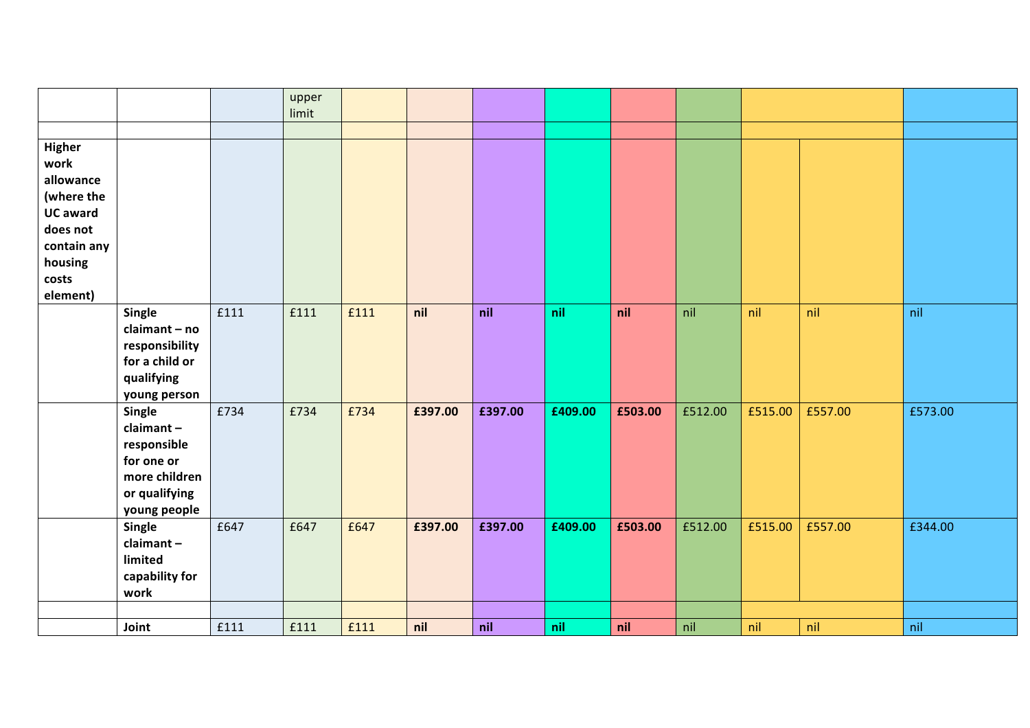|                                                                                                             |                                                                                                           |      | upper<br>limit |      |         |         |         |         |         |         |         |         |
|-------------------------------------------------------------------------------------------------------------|-----------------------------------------------------------------------------------------------------------|------|----------------|------|---------|---------|---------|---------|---------|---------|---------|---------|
|                                                                                                             |                                                                                                           |      |                |      |         |         |         |         |         |         |         |         |
| Higher<br>work<br>allowance<br>(where the<br><b>UC award</b><br>does not<br>contain any<br>housing<br>costs |                                                                                                           |      |                |      |         |         |         |         |         |         |         |         |
| element)                                                                                                    |                                                                                                           |      |                |      |         |         |         |         |         |         |         |         |
|                                                                                                             | Single<br>claimant - no<br>responsibility<br>for a child or<br>qualifying<br>young person                 | £111 | £111           | £111 | nil     | nil     | nil     | nil     | nil     | nil     | nil     | nil     |
|                                                                                                             | <b>Single</b><br>claimant-<br>responsible<br>for one or<br>more children<br>or qualifying<br>young people | £734 | £734           | £734 | £397.00 | £397.00 | £409.00 | £503.00 | £512.00 | £515.00 | £557.00 | £573.00 |
|                                                                                                             | Single<br>claimant-<br>limited<br>capability for<br>work                                                  | £647 | £647           | £647 | £397.00 | £397.00 | £409.00 | £503.00 | £512.00 | £515.00 | £557.00 | £344.00 |
|                                                                                                             |                                                                                                           |      |                |      |         |         |         |         |         |         |         |         |
|                                                                                                             | Joint                                                                                                     | £111 | £111           | £111 | nil     | nil     | nil     | nil     | nil     | nil     | nil     | nil     |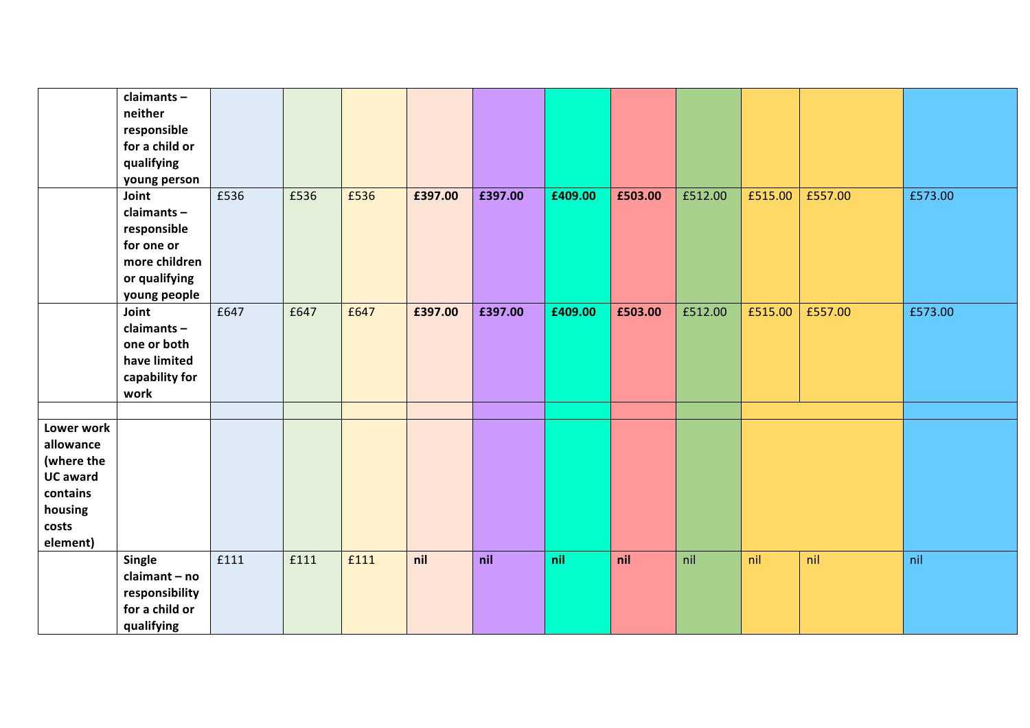|                 | claimants-<br>neither<br>responsible |      |      |      |         |         |         |         |         |         |         |         |
|-----------------|--------------------------------------|------|------|------|---------|---------|---------|---------|---------|---------|---------|---------|
|                 | for a child or                       |      |      |      |         |         |         |         |         |         |         |         |
|                 | qualifying                           |      |      |      |         |         |         |         |         |         |         |         |
|                 | young person                         |      |      |      |         |         |         |         |         |         |         |         |
|                 | Joint                                | £536 | £536 | £536 | £397.00 | £397.00 | £409.00 | £503.00 | £512.00 | £515.00 | £557.00 | £573.00 |
|                 | claimants-                           |      |      |      |         |         |         |         |         |         |         |         |
|                 | responsible                          |      |      |      |         |         |         |         |         |         |         |         |
|                 | for one or                           |      |      |      |         |         |         |         |         |         |         |         |
|                 | more children                        |      |      |      |         |         |         |         |         |         |         |         |
|                 | or qualifying                        |      |      |      |         |         |         |         |         |         |         |         |
|                 | young people                         |      |      |      |         |         |         |         |         |         |         |         |
|                 | Joint                                | £647 | £647 | £647 | £397.00 | £397.00 | £409.00 | £503.00 | £512.00 | £515.00 | £557.00 | £573.00 |
|                 | claimants-                           |      |      |      |         |         |         |         |         |         |         |         |
|                 | one or both<br>have limited          |      |      |      |         |         |         |         |         |         |         |         |
|                 | capability for                       |      |      |      |         |         |         |         |         |         |         |         |
|                 | work                                 |      |      |      |         |         |         |         |         |         |         |         |
|                 |                                      |      |      |      |         |         |         |         |         |         |         |         |
| Lower work      |                                      |      |      |      |         |         |         |         |         |         |         |         |
| allowance       |                                      |      |      |      |         |         |         |         |         |         |         |         |
| (where the      |                                      |      |      |      |         |         |         |         |         |         |         |         |
| <b>UC</b> award |                                      |      |      |      |         |         |         |         |         |         |         |         |
| contains        |                                      |      |      |      |         |         |         |         |         |         |         |         |
| housing         |                                      |      |      |      |         |         |         |         |         |         |         |         |
| costs           |                                      |      |      |      |         |         |         |         |         |         |         |         |
| element)        |                                      |      |      |      |         |         |         |         |         |         |         |         |
|                 | <b>Single</b>                        | £111 | £111 | £111 | nil     | nil     | nil     | nil     | nil     | nil     | nil     | nil     |
|                 | claimant - no                        |      |      |      |         |         |         |         |         |         |         |         |
|                 | responsibility                       |      |      |      |         |         |         |         |         |         |         |         |
|                 | for a child or                       |      |      |      |         |         |         |         |         |         |         |         |
|                 | qualifying                           |      |      |      |         |         |         |         |         |         |         |         |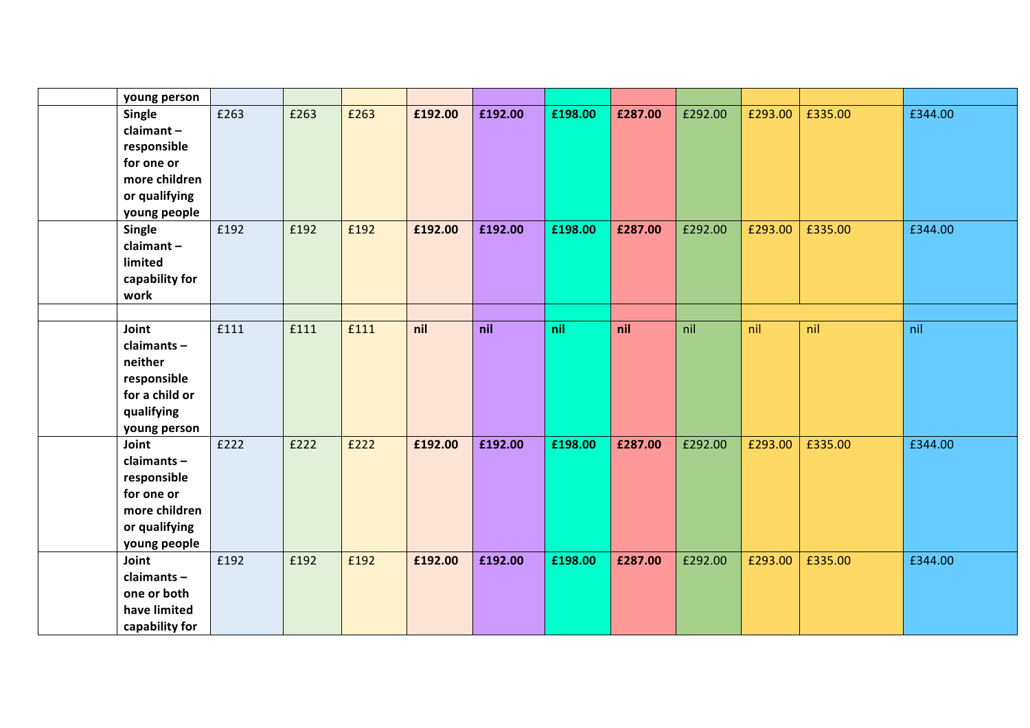| young person                                                                                          |      |      |      |         |         |         |         |         |         |         |         |
|-------------------------------------------------------------------------------------------------------|------|------|------|---------|---------|---------|---------|---------|---------|---------|---------|
| Single<br>$claimant -$<br>responsible<br>for one or<br>more children<br>or qualifying<br>young people | £263 | £263 | £263 | £192.00 | £192.00 | £198.00 | £287.00 | £292.00 | £293.00 | £335.00 | £344.00 |
| Single<br>$claimant -$<br>limited<br>capability for<br>work                                           | £192 | £192 | £192 | £192.00 | £192.00 | £198.00 | £287.00 | £292.00 | £293.00 | £335.00 | £344.00 |
|                                                                                                       |      |      |      |         |         |         |         |         |         |         |         |
| Joint<br>claimants-<br>neither<br>responsible<br>for a child or<br>qualifying<br>young person         | £111 | £111 | £111 | nil     | nil     | nil     | nil     | nil     | nil     | nil     | nil     |
| Joint<br>claimants-<br>responsible<br>for one or<br>more children<br>or qualifying<br>young people    | £222 | £222 | £222 | £192.00 | £192.00 | £198.00 | £287.00 | £292.00 | £293.00 | £335.00 | £344.00 |
| Joint<br>claimants-<br>one or both<br>have limited<br>capability for                                  | £192 | £192 | £192 | £192.00 | £192.00 | £198.00 | £287.00 | £292.00 | £293.00 | £335.00 | £344.00 |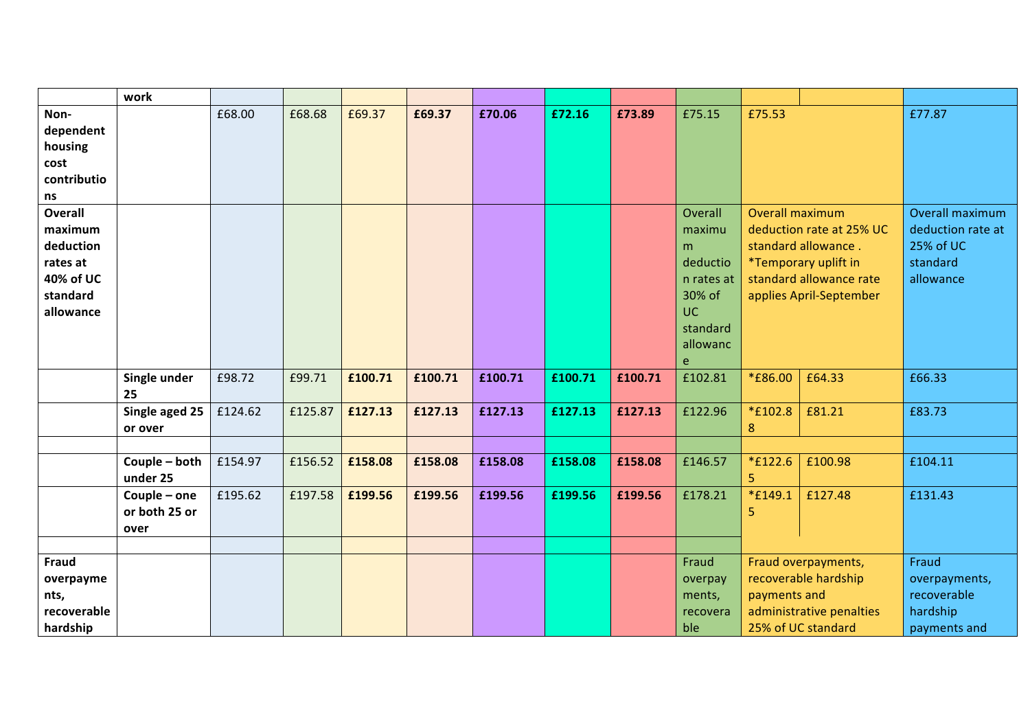|                      | work               |         |         |         |         |         |         |         |                 |                        |                                                |                              |
|----------------------|--------------------|---------|---------|---------|---------|---------|---------|---------|-----------------|------------------------|------------------------------------------------|------------------------------|
| Non-<br>dependent    |                    | £68.00  | £68.68  | £69.37  | £69.37  | £70.06  | £72.16  | £73.89  | £75.15          | £75.53                 |                                                | £77.87                       |
| housing              |                    |         |         |         |         |         |         |         |                 |                        |                                                |                              |
| cost                 |                    |         |         |         |         |         |         |         |                 |                        |                                                |                              |
| contributio          |                    |         |         |         |         |         |         |         |                 |                        |                                                |                              |
| ns<br><b>Overall</b> |                    |         |         |         |         |         |         |         | Overall         | <b>Overall maximum</b> |                                                | Overall maximum              |
| maximum              |                    |         |         |         |         |         |         |         | maximu          |                        | deduction rate at 25% UC                       | deduction rate at            |
| deduction            |                    |         |         |         |         |         |         |         | m               |                        | standard allowance.                            | 25% of UC                    |
| rates at             |                    |         |         |         |         |         |         |         | deductio        |                        | <i>*Temporary uplift in</i>                    | standard                     |
| 40% of UC            |                    |         |         |         |         |         |         |         | n rates at      |                        | standard allowance rate                        | allowance                    |
| standard             |                    |         |         |         |         |         |         |         | 30% of          |                        | applies April-September                        |                              |
| allowance            |                    |         |         |         |         |         |         |         | <b>UC</b>       |                        |                                                |                              |
|                      |                    |         |         |         |         |         |         |         | standard        |                        |                                                |                              |
|                      |                    |         |         |         |         |         |         |         | allowanc        |                        |                                                |                              |
|                      |                    |         |         |         |         |         |         |         | e               |                        |                                                |                              |
|                      | Single under<br>25 | £98.72  | £99.71  | £100.71 | £100.71 | £100.71 | £100.71 | £100.71 | £102.81         | <i>*</i> £86.00        | £64.33                                         | £66.33                       |
|                      | Single aged 25     | £124.62 | £125.87 | £127.13 | £127.13 | £127.13 | £127.13 | £127.13 | £122.96         | *£102.8                | £81.21                                         | £83.73                       |
|                      | or over            |         |         |         |         |         |         |         |                 | 8                      |                                                |                              |
|                      |                    |         |         |         |         |         |         |         |                 |                        |                                                |                              |
|                      | Couple - both      | £154.97 | £156.52 | £158.08 | £158.08 | £158.08 | £158.08 | £158.08 | £146.57         | *£122.6                | £100.98                                        | £104.11                      |
|                      | under 25           |         |         |         |         |         |         |         |                 | 5                      |                                                |                              |
|                      | Couple - one       | £195.62 | £197.58 | £199.56 | £199.56 | £199.56 | £199.56 | £199.56 | £178.21         | *£149.1                | £127.48                                        | £131.43                      |
|                      | or both 25 or      |         |         |         |         |         |         |         |                 | 5                      |                                                |                              |
|                      | over               |         |         |         |         |         |         |         |                 |                        |                                                |                              |
|                      |                    |         |         |         |         |         |         |         |                 |                        |                                                |                              |
| <b>Fraud</b>         |                    |         |         |         |         |         |         |         | Fraud           |                        | Fraud overpayments,                            | Fraud                        |
| overpayme            |                    |         |         |         |         |         |         |         | overpay         |                        | recoverable hardship                           | overpayments,<br>recoverable |
| nts,<br>recoverable  |                    |         |         |         |         |         |         |         | ments,          | payments and           |                                                | hardship                     |
| hardship             |                    |         |         |         |         |         |         |         | recovera<br>ble |                        | administrative penalties<br>25% of UC standard |                              |
|                      |                    |         |         |         |         |         |         |         |                 |                        |                                                | payments and                 |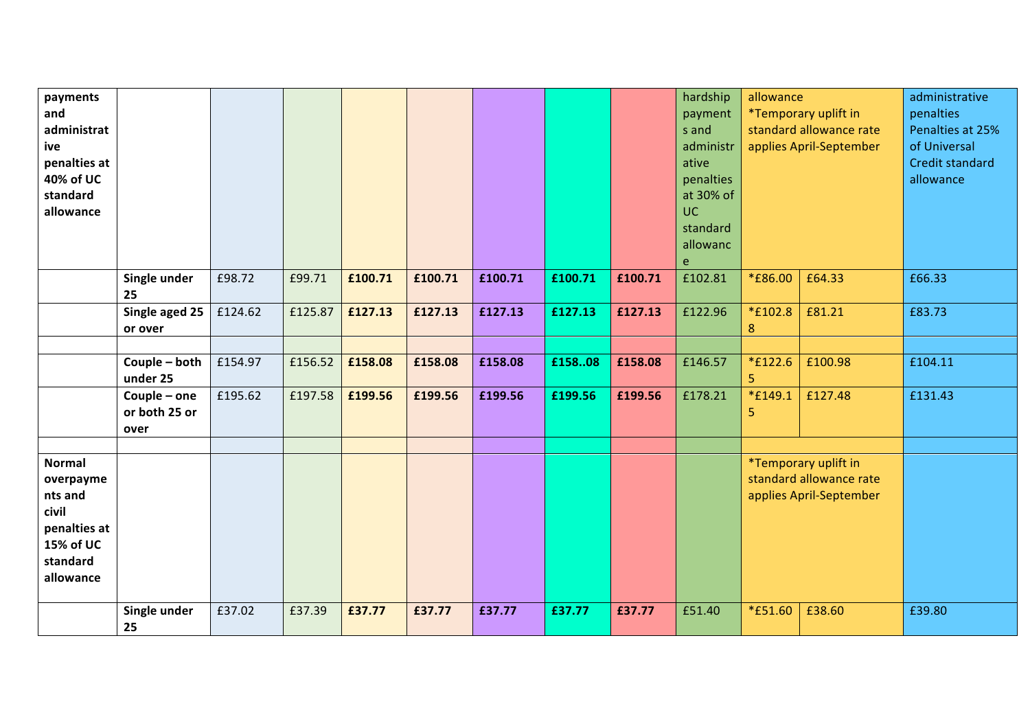| payments<br>and<br>administrat<br>ive<br>penalties at<br>40% of UC<br>standard<br>allowance          |                                       |         |         |         |         |         |         |         | hardship<br>payment<br>s and<br>administr<br>ative<br>penalties<br>at 30% of<br>UC.<br>standard<br>allowanc<br>$\mathsf{e}$ | allowance          | *Temporary uplift in<br>standard allowance rate<br>applies April-September | administrative<br>penalties<br>Penalties at 25%<br>of Universal<br>Credit standard<br>allowance |
|------------------------------------------------------------------------------------------------------|---------------------------------------|---------|---------|---------|---------|---------|---------|---------|-----------------------------------------------------------------------------------------------------------------------------|--------------------|----------------------------------------------------------------------------|-------------------------------------------------------------------------------------------------|
|                                                                                                      | Single under<br>25                    | £98.72  | £99.71  | £100.71 | £100.71 | £100.71 | £100.71 | £100.71 | £102.81                                                                                                                     | <i>*</i> £86.00    | £64.33                                                                     | £66.33                                                                                          |
|                                                                                                      | Single aged 25<br>or over             | £124.62 | £125.87 | £127.13 | £127.13 | £127.13 | £127.13 | £127.13 | £122.96                                                                                                                     | *£102.8<br>$\bf 8$ | £81.21                                                                     | £83.73                                                                                          |
|                                                                                                      |                                       |         |         |         |         |         |         |         |                                                                                                                             |                    |                                                                            |                                                                                                 |
|                                                                                                      | Couple - both<br>under 25             | £154.97 | £156.52 | £158.08 | £158.08 | £158.08 | £15808  | £158.08 | £146.57                                                                                                                     | *£122.6<br>5       | £100.98                                                                    | £104.11                                                                                         |
|                                                                                                      | Couple - one<br>or both 25 or<br>over | £195.62 | £197.58 | £199.56 | £199.56 | £199.56 | £199.56 | £199.56 | £178.21                                                                                                                     | *£149.1<br>5       | £127.48                                                                    | £131.43                                                                                         |
| <b>Normal</b><br>overpayme<br>nts and<br>civil<br>penalties at<br>15% of UC<br>standard<br>allowance |                                       |         |         |         |         |         |         |         |                                                                                                                             |                    | *Temporary uplift in<br>standard allowance rate<br>applies April-September |                                                                                                 |
|                                                                                                      | Single under<br>25                    | £37.02  | £37.39  | £37.77  | £37.77  | £37.77  | £37.77  | £37.77  | £51.40                                                                                                                      | <i>*</i> £51.60    | £38.60                                                                     | £39.80                                                                                          |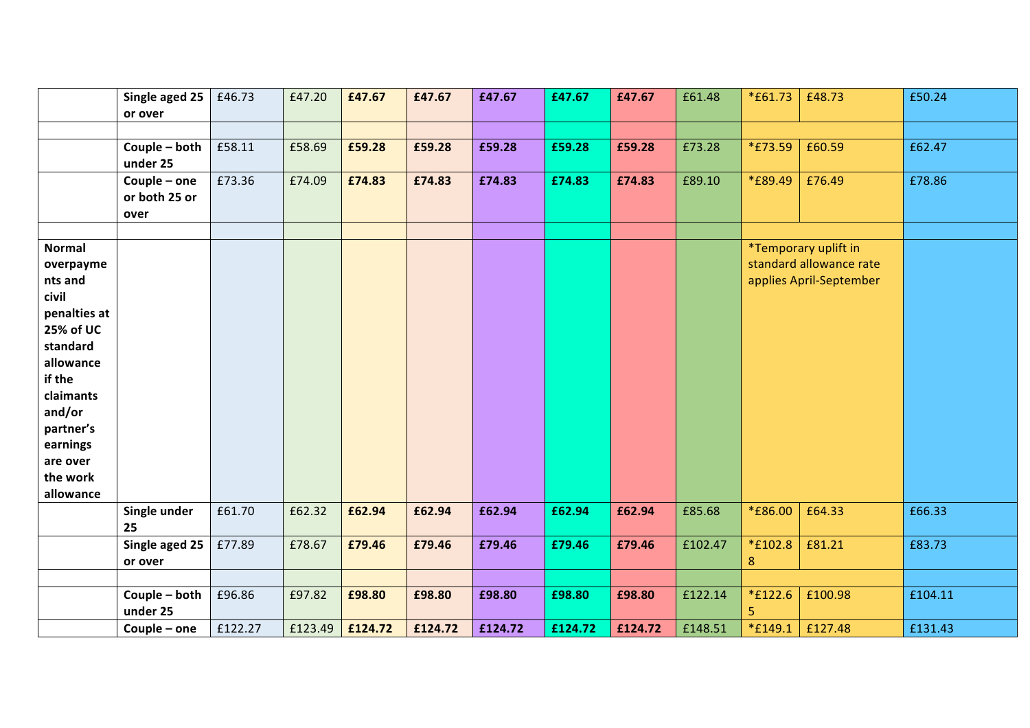|                                                                                                                                                                                                     | Single aged 25<br>or over       | £46.73  | £47.20  | £47.67  | £47.67  | £47.67  | £47.67  | £47.67  | £61.48  | *£61.73         | £48.73                                                                     | £50.24  |
|-----------------------------------------------------------------------------------------------------------------------------------------------------------------------------------------------------|---------------------------------|---------|---------|---------|---------|---------|---------|---------|---------|-----------------|----------------------------------------------------------------------------|---------|
|                                                                                                                                                                                                     |                                 |         |         |         |         |         |         |         |         |                 |                                                                            |         |
|                                                                                                                                                                                                     | Couple - both<br>under 25       | £58.11  | £58.69  | £59.28  | £59.28  | £59.28  | £59.28  | £59.28  | £73.28  | <i>*</i> £73.59 | £60.59                                                                     | £62.47  |
|                                                                                                                                                                                                     | Couple - one<br>or both 25 or   | £73.36  | £74.09  | £74.83  | £74.83  | £74.83  | £74.83  | £74.83  | £89.10  | <i>*</i> £89.49 | £76.49                                                                     | £78.86  |
|                                                                                                                                                                                                     | over                            |         |         |         |         |         |         |         |         |                 |                                                                            |         |
| <b>Normal</b><br>overpayme<br>nts and<br>civil<br>penalties at<br>25% of UC<br>standard<br>allowance<br>if the<br>claimants<br>and/or<br>partner's<br>earnings<br>are over<br>the work<br>allowance |                                 |         |         |         |         |         |         |         |         |                 | *Temporary uplift in<br>standard allowance rate<br>applies April-September |         |
|                                                                                                                                                                                                     | Single under                    | £61.70  | £62.32  | £62.94  | £62.94  | £62.94  | £62.94  | £62.94  | £85.68  | <i>*</i> £86.00 | £64.33                                                                     | £66.33  |
|                                                                                                                                                                                                     | 25<br>Single aged 25<br>or over | £77.89  | £78.67  | £79.46  | £79.46  | £79.46  | £79.46  | £79.46  | £102.47 | *£102.8<br>8    | £81.21                                                                     | £83.73  |
|                                                                                                                                                                                                     | Couple - both<br>under 25       | £96.86  | £97.82  | £98.80  | £98.80  | £98.80  | £98.80  | £98.80  | £122.14 | *£122.6<br>5    | £100.98                                                                    | £104.11 |
|                                                                                                                                                                                                     | Couple - one                    | £122.27 | £123.49 | £124.72 | £124.72 | £124.72 | £124.72 | £124.72 | £148.51 | $*$ £149.1      | £127.48                                                                    | £131.43 |